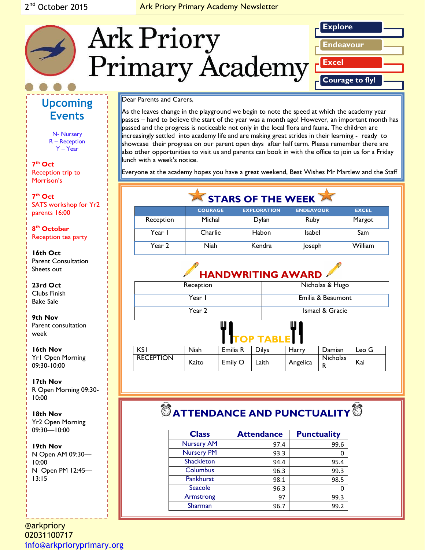#### Ark Priory Primary Academy Newsletter



# **Upcoming Events**

N- Nursery R – Reception Y – Year

**7 th Oct**  Reception trip to Morrison's

*Caption describing*  **7 th Oct** *picture or graphic.* SATS workshop for Yr2 parents 16:00

**8 th October**  Reception tea party

**16th Oct** Parent Consultation Sheets out

**23rd Oct**  Clubs Finish Bake Sale

**9th Nov** Parent consultation week

**16th Nov** Yr1 Open Morning 09:30-10:00

**17th Nov**  R Open Morning 09:30- 10:00

**18th Nov** Yr2 Open Morning 09:30—10:00

**19th Nov** N Open AM 09:30— 10:00 N Open PM 12:45— 13:15

@arkpriory 02031100717 [info@arkprioryprimary.org](mailto:info@arkprioryprimary.org) 

#### Dear Parents and Carers,

As the leaves change in the playground we begin to note the speed at which the academy year passes – hard to believe the start of the year was a month ago! However, an important month has passed and the progress is noticeable not only in the local flora and fauna. The children are increasingly settled into academy life and are making great strides in their learning - ready to showcase their progress on our parent open days after half term. Please remember there are also other opportunities to visit us and parents can book in with the office to join us for a Friday lunch with a week's notice.

Everyone at the academy hopes you have a great weekend, Best Wishes Mr Martlew and the Staff

| STARS OF THE WEEK |                |                    |                  |              |  |
|-------------------|----------------|--------------------|------------------|--------------|--|
|                   | <b>COURAGE</b> | <b>EXPLORATION</b> | <b>ENDEAVOUR</b> | <b>EXCEL</b> |  |
| Reception         | Michal         | Dylan              | Ruby             | Margot       |  |
| Year I            | Charlie        | Habon              | <b>Isabel</b>    | Sam          |  |
| Year 2            | Niah           | Kendra             | Joseph           | William      |  |

# **HANDWRITING AWARD**

| Reception                  |             |          |              | Nicholas & Hugo   |                      |       |
|----------------------------|-------------|----------|--------------|-------------------|----------------------|-------|
| Year I                     |             |          |              | Emilia & Beaumont |                      |       |
| Year 2                     |             |          |              | Ismael & Gracie   |                      |       |
| Ш<br>Ш<br><b>TOP TABLE</b> |             |          |              |                   |                      |       |
| <b>KSI</b>                 | <b>Niah</b> | Emilia R | <b>Dilys</b> | Harry             | Damian               | Leo G |
| <b>RECEPTION</b>           | Kaito       | Emily O  | Laith        | Angelica          | <b>Nicholas</b><br>R | Kai   |

# $\bullet$  ATTENDANCE AND PUNCTUALITY<sup>®</sup>

| <b>Class</b>      | <b>Attendance</b> | <b>Punctuality</b> |  |
|-------------------|-------------------|--------------------|--|
| <b>Nursery AM</b> | 97.4              | 99.6               |  |
| <b>Nursery PM</b> | 93.3              |                    |  |
| Shackleton        | 94.4              | 95.4               |  |
| Columbus          | 96.3              | 99.3               |  |
| <b>Pankhurst</b>  | 98.1              | 98.5               |  |
| Seacole           | 96.3              |                    |  |
| Armstrong         | 97                | 99.3               |  |
| Sharman           | 96.7              | 99.2               |  |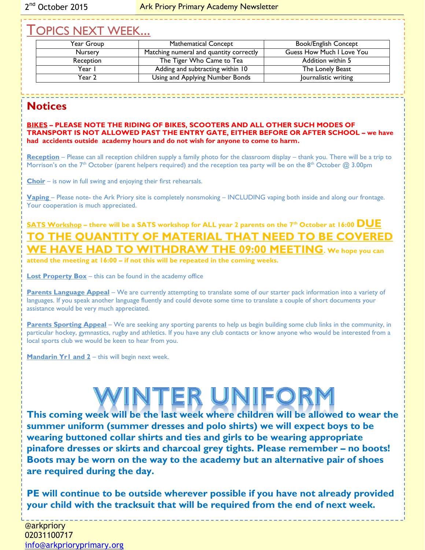# TOPICS NEXT WEEK...

| Year Group     | <b>Mathematical Concept</b>             | <b>Book/English Concept</b> |
|----------------|-----------------------------------------|-----------------------------|
| <b>Nursery</b> | Matching numeral and quantity correctly | Guess How Much I Love You   |
| Reception      | The Tiger Who Came to Tea               | Addition within 5           |
| Year I         | Adding and subtracting within 10        | The Lonely Beast            |
| Year 2         | Using and Applying Number Bonds         | Journalistic writing        |
|                |                                         |                             |

### **Notices**

**BIKES – PLEASE NOTE THE RIDING OF BIKES, SCOOTERS AND ALL OTHER SUCH MODES OF TRANSPORT IS NOT ALLOWED PAST THE ENTRY GATE, EITHER BEFORE OR AFTER SCHOOL – we have had accidents outside academy hours and do not wish for anyone to come to harm.**

**Reception** – Please can all reception children supply a family photo for the classroom display – thank you. There will be a trip to Morrison's on the 7<sup>th</sup> October (parent helpers required) and the reception tea party will be on the 8<sup>th</sup> October @ 3.00pm

**Choir** – is now in full swing and enjoying their first rehearsals.

**Vaping** – Please note- the Ark Priory site is completely nonsmoking – INCLUDING vaping both inside and along our frontage. Your cooperation is much appreciated.

## **SATS Workshop – there will be a SATS workshop for ALL year 2 parents on the 7th October at 16:00 DUE TO THE QUANTITY OF MATERIAL THAT NEED TO BE COVERED WE HAVE HAD TO WITHDRAW THE 09:00 MEETING. We hope you can**

**attend the meeting at 16:00 – if not this will be repeated in the coming weeks.**

**Lost Property Box** – this can be found in the academy office

**Parents Language Appeal** – We are currently attempting to translate some of our starter pack information into a variety of languages. If you speak another language fluently and could devote some time to translate a couple of short documents your assistance would be very much appreciated.

**Parents Sporting Appeal** – We are seeking any sporting parents to help us begin building some club links in the community, in particular hockey, gymnastics, rugby and athletics. If you have any club contacts or know anyone who would be interested from a local sports club we would be keen to hear from you.

**Mandarin Yr1 and 2** – this will begin next week.

# NTER UNI

**This coming week will be the last week where children will be allowed to wear the summer uniform (summer dresses and polo shirts) we will expect boys to be wearing buttoned collar shirts and ties and girls to be wearing appropriate pinafore dresses or skirts and charcoal grey tights. Please remember – no boots! Boots may be worn on the way to the academy but an alternative pair of shoes are required during the day.**

**PE will continue to be outside wherever possible if you have not already provided your child with the tracksuit that will be required from the end of next week.**